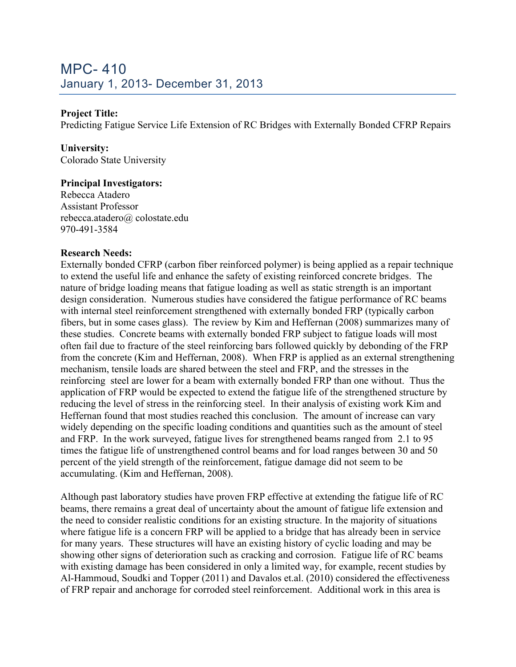### **Project Title:**

Predicting Fatigue Service Life Extension of RC Bridges with Externally Bonded CFRP Repairs

# **University:**

Colorado State University

### **Principal Investigators:**

Rebecca Atadero Assistant Professor rebecca.atadero@ colostate.edu 970-491-3584

#### **Research Needs:**

Externally bonded CFRP (carbon fiber reinforced polymer) is being applied as a repair technique to extend the useful life and enhance the safety of existing reinforced concrete bridges. The nature of bridge loading means that fatigue loading as well as static strength is an important design consideration. Numerous studies have considered the fatigue performance of RC beams with internal steel reinforcement strengthened with externally bonded FRP (typically carbon fibers, but in some cases glass). The review by Kim and Heffernan (2008) summarizes many of these studies. Concrete beams with externally bonded FRP subject to fatigue loads will most often fail due to fracture of the steel reinforcing bars followed quickly by debonding of the FRP from the concrete (Kim and Heffernan, 2008). When FRP is applied as an external strengthening mechanism, tensile loads are shared between the steel and FRP, and the stresses in the reinforcing steel are lower for a beam with externally bonded FRP than one without. Thus the application of FRP would be expected to extend the fatigue life of the strengthened structure by reducing the level of stress in the reinforcing steel. In their analysis of existing work Kim and Heffernan found that most studies reached this conclusion. The amount of increase can vary widely depending on the specific loading conditions and quantities such as the amount of steel and FRP. In the work surveyed, fatigue lives for strengthened beams ranged from 2.1 to 95 times the fatigue life of unstrengthened control beams and for load ranges between 30 and 50 percent of the yield strength of the reinforcement, fatigue damage did not seem to be accumulating. (Kim and Heffernan, 2008).

Although past laboratory studies have proven FRP effective at extending the fatigue life of RC beams, there remains a great deal of uncertainty about the amount of fatigue life extension and the need to consider realistic conditions for an existing structure. In the majority of situations where fatigue life is a concern FRP will be applied to a bridge that has already been in service for many years. These structures will have an existing history of cyclic loading and may be showing other signs of deterioration such as cracking and corrosion. Fatigue life of RC beams with existing damage has been considered in only a limited way, for example, recent studies by Al-Hammoud, Soudki and Topper (2011) and Davalos et.al. (2010) considered the effectiveness of FRP repair and anchorage for corroded steel reinforcement. Additional work in this area is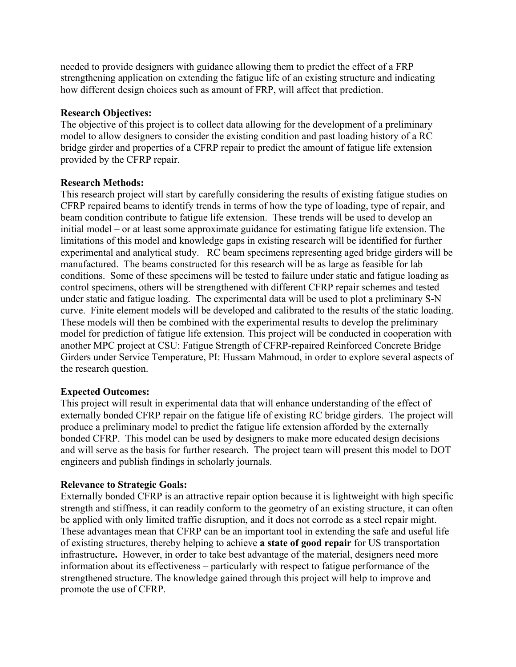needed to provide designers with guidance allowing them to predict the effect of a FRP strengthening application on extending the fatigue life of an existing structure and indicating how different design choices such as amount of FRP, will affect that prediction.

#### **Research Objectives:**

The objective of this project is to collect data allowing for the development of a preliminary model to allow designers to consider the existing condition and past loading history of a RC bridge girder and properties of a CFRP repair to predict the amount of fatigue life extension provided by the CFRP repair.

### **Research Methods:**

This research project will start by carefully considering the results of existing fatigue studies on CFRP repaired beams to identify trends in terms of how the type of loading, type of repair, and beam condition contribute to fatigue life extension. These trends will be used to develop an initial model – or at least some approximate guidance for estimating fatigue life extension. The limitations of this model and knowledge gaps in existing research will be identified for further experimental and analytical study. RC beam specimens representing aged bridge girders will be manufactured. The beams constructed for this research will be as large as feasible for lab conditions. Some of these specimens will be tested to failure under static and fatigue loading as control specimens, others will be strengthened with different CFRP repair schemes and tested under static and fatigue loading. The experimental data will be used to plot a preliminary S-N curve. Finite element models will be developed and calibrated to the results of the static loading. These models will then be combined with the experimental results to develop the preliminary model for prediction of fatigue life extension. This project will be conducted in cooperation with another MPC project at CSU: Fatigue Strength of CFRP-repaired Reinforced Concrete Bridge Girders under Service Temperature, PI: Hussam Mahmoud, in order to explore several aspects of the research question.

## **Expected Outcomes:**

This project will result in experimental data that will enhance understanding of the effect of externally bonded CFRP repair on the fatigue life of existing RC bridge girders. The project will produce a preliminary model to predict the fatigue life extension afforded by the externally bonded CFRP. This model can be used by designers to make more educated design decisions and will serve as the basis for further research. The project team will present this model to DOT engineers and publish findings in scholarly journals.

## **Relevance to Strategic Goals:**

Externally bonded CFRP is an attractive repair option because it is lightweight with high specific strength and stiffness, it can readily conform to the geometry of an existing structure, it can often be applied with only limited traffic disruption, and it does not corrode as a steel repair might. These advantages mean that CFRP can be an important tool in extending the safe and useful life of existing structures, thereby helping to achieve **a state of good repair** for US transportation infrastructure**.** However, in order to take best advantage of the material, designers need more information about its effectiveness – particularly with respect to fatigue performance of the strengthened structure. The knowledge gained through this project will help to improve and promote the use of CFRP.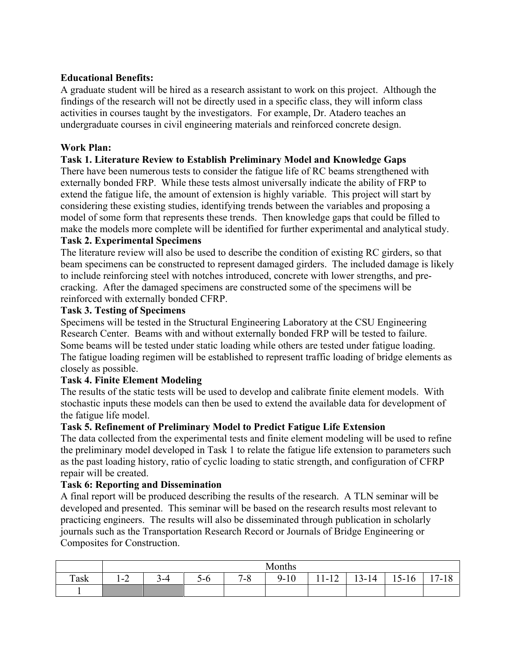## **Educational Benefits:**

A graduate student will be hired as a research assistant to work on this project. Although the findings of the research will not be directly used in a specific class, they will inform class activities in courses taught by the investigators. For example, Dr. Atadero teaches an undergraduate courses in civil engineering materials and reinforced concrete design.

# **Work Plan:**

## **Task 1. Literature Review to Establish Preliminary Model and Knowledge Gaps**

There have been numerous tests to consider the fatigue life of RC beams strengthened with externally bonded FRP. While these tests almost universally indicate the ability of FRP to extend the fatigue life, the amount of extension is highly variable. This project will start by considering these existing studies, identifying trends between the variables and proposing a model of some form that represents these trends. Then knowledge gaps that could be filled to make the models more complete will be identified for further experimental and analytical study.

## **Task 2. Experimental Specimens**

The literature review will also be used to describe the condition of existing RC girders, so that beam specimens can be constructed to represent damaged girders. The included damage is likely to include reinforcing steel with notches introduced, concrete with lower strengths, and precracking. After the damaged specimens are constructed some of the specimens will be reinforced with externally bonded CFRP.

## **Task 3. Testing of Specimens**

Specimens will be tested in the Structural Engineering Laboratory at the CSU Engineering Research Center. Beams with and without externally bonded FRP will be tested to failure. Some beams will be tested under static loading while others are tested under fatigue loading. The fatigue loading regimen will be established to represent traffic loading of bridge elements as closely as possible.

# **Task 4. Finite Element Modeling**

The results of the static tests will be used to develop and calibrate finite element models. With stochastic inputs these models can then be used to extend the available data for development of the fatigue life model.

## **Task 5. Refinement of Preliminary Model to Predict Fatigue Life Extension**

The data collected from the experimental tests and finite element modeling will be used to refine the preliminary model developed in Task 1 to relate the fatigue life extension to parameters such as the past loading history, ratio of cyclic loading to static strength, and configuration of CFRP repair will be created.

## **Task 6: Reporting and Dissemination**

A final report will be produced describing the results of the research. A TLN seminar will be developed and presented. This seminar will be based on the research results most relevant to practicing engineers. The results will also be disseminated through publication in scholarly journals such as the Transportation Research Record or Journals of Bridge Engineering or Composites for Construction.

|      | Months            |     |       |           |             |                             |           |                                                |                                   |  |  |
|------|-------------------|-----|-------|-----------|-------------|-----------------------------|-----------|------------------------------------------------|-----------------------------------|--|--|
| Task | $\sim$<br>$1 - 2$ | `-4 | $5-0$ | 70<br>ه-י | 10<br>$9 -$ | $1 \cap$<br>11<br>$11 - 12$ | $13 - 14$ | $\overline{\phantom{0}}$<br>$-16$<br>$1.3 - 7$ | $\overline{ }$<br>1 O<br>$1 - 10$ |  |  |
|      |                   |     |       |           |             |                             |           |                                                |                                   |  |  |